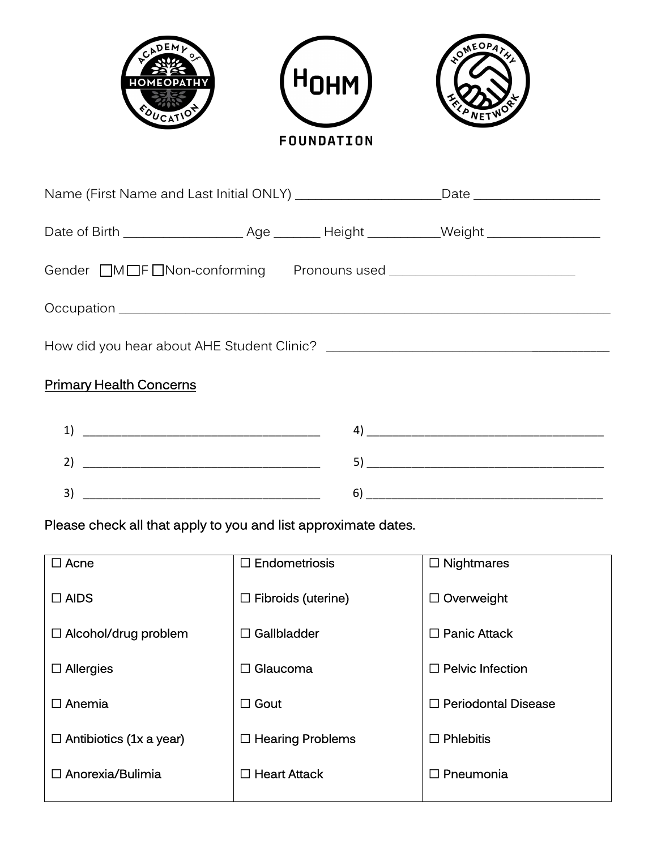

| Name (First Name and Last Initial ONLY) _______________________Date _____________ |  |  |  |  |  |
|-----------------------------------------------------------------------------------|--|--|--|--|--|
|                                                                                   |  |  |  |  |  |
|                                                                                   |  |  |  |  |  |
|                                                                                   |  |  |  |  |  |
|                                                                                   |  |  |  |  |  |
| <b>Primary Health Concerns</b>                                                    |  |  |  |  |  |
| $\begin{tabular}{c} 1) \end{tabular}$                                             |  |  |  |  |  |
|                                                                                   |  |  |  |  |  |
|                                                                                   |  |  |  |  |  |

Please check all that apply to you and list approximate dates.

| $\Box$ Acne                    | $\Box$ Endometriosis      | $\Box$ Nightmares          |
|--------------------------------|---------------------------|----------------------------|
| $\Box$ AIDS                    | $\Box$ Fibroids (uterine) | $\Box$ Overweight          |
| $\Box$ Alcohol/drug problem    | $\Box$ Gallbladder        | $\Box$ Panic Attack        |
| $\Box$ Allergies               | $\Box$ Glaucoma           | $\Box$ Pelvic Infection    |
| $\Box$ Anemia                  | $\Box$ Gout               | $\Box$ Periodontal Disease |
| $\Box$ Antibiotics (1x a year) | $\Box$ Hearing Problems   | <b>Phlebitis</b><br>п      |
| $\Box$ Anorexia/Bulimia        | $\Box$ Heart Attack       | $\Box$ Pneumonia           |
|                                |                           |                            |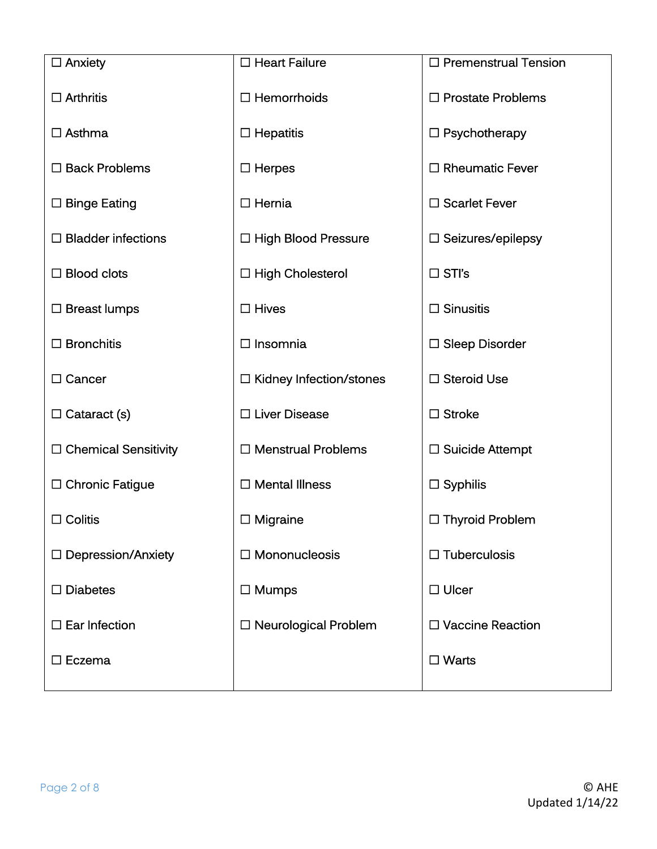| $\Box$ Anxiety              | $\Box$ Heart Failure           | □ Premenstrual Tension   |
|-----------------------------|--------------------------------|--------------------------|
| $\Box$ Arthritis            | $\Box$ Hemorrhoids             | $\Box$ Prostate Problems |
| $\Box$ Asthma               | $\Box$ Hepatitis               | $\Box$ Psychotherapy     |
| $\Box$ Back Problems        | $\Box$ Herpes                  | $\Box$ Rheumatic Fever   |
| $\Box$ Binge Eating         | $\Box$ Hernia                  | $\Box$ Scarlet Fever     |
| $\Box$ Bladder infections   | $\Box$ High Blood Pressure     | $\Box$ Seizures/epilepsy |
| $\Box$ Blood clots          | $\Box$ High Cholesterol        | $\Box$ STI's             |
| $\Box$ Breast lumps         | $\Box$ Hives                   | $\Box$ Sinusitis         |
| $\Box$ Bronchitis           | $\Box$ Insomnia                | $\square$ Sleep Disorder |
| $\Box$ Cancer               | $\Box$ Kidney Infection/stones | □ Steroid Use            |
| $\Box$ Cataract (s)         | □ Liver Disease                | $\Box$ Stroke            |
| $\Box$ Chemical Sensitivity | $\Box$ Menstrual Problems      | $\Box$ Suicide Attempt   |
| $\Box$ Chronic Fatigue      | $\Box$ Mental Illness          | $\square$ Syphilis       |
| $\Box$ Colitis              | $\Box$ Migraine                | $\Box$ Thyroid Problem   |
| $\Box$ Depression/Anxiety   | $\Box$ Mononucleosis           | $\Box$ Tuberculosis      |
| $\Box$ Diabetes             | $\Box$ Mumps                   | $\Box$ Ulcer             |
| $\square$ Ear Infection     | $\Box$ Neurological Problem    | □ Vaccine Reaction       |
| $\square$ Eczema            |                                | $\Box$ Warts             |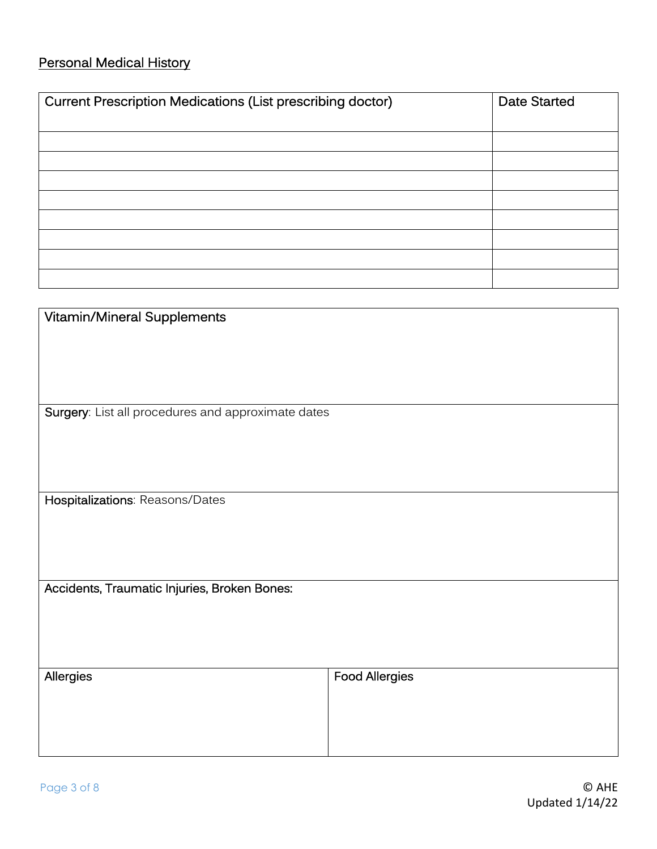# Personal Medical History

| <b>Current Prescription Medications (List prescribing doctor)</b> | <b>Date Started</b> |
|-------------------------------------------------------------------|---------------------|
|                                                                   |                     |
|                                                                   |                     |
|                                                                   |                     |
|                                                                   |                     |
|                                                                   |                     |
|                                                                   |                     |
|                                                                   |                     |
|                                                                   |                     |
|                                                                   |                     |

| Vitamin/Mineral Supplements                        |                       |  |
|----------------------------------------------------|-----------------------|--|
|                                                    |                       |  |
|                                                    |                       |  |
|                                                    |                       |  |
| Surgery: List all procedures and approximate dates |                       |  |
|                                                    |                       |  |
|                                                    |                       |  |
|                                                    |                       |  |
| Hospitalizations: Reasons/Dates                    |                       |  |
|                                                    |                       |  |
|                                                    |                       |  |
| Accidents, Traumatic Injuries, Broken Bones:       |                       |  |
|                                                    |                       |  |
|                                                    |                       |  |
|                                                    |                       |  |
| Allergies                                          | <b>Food Allergies</b> |  |
|                                                    |                       |  |
|                                                    |                       |  |
|                                                    |                       |  |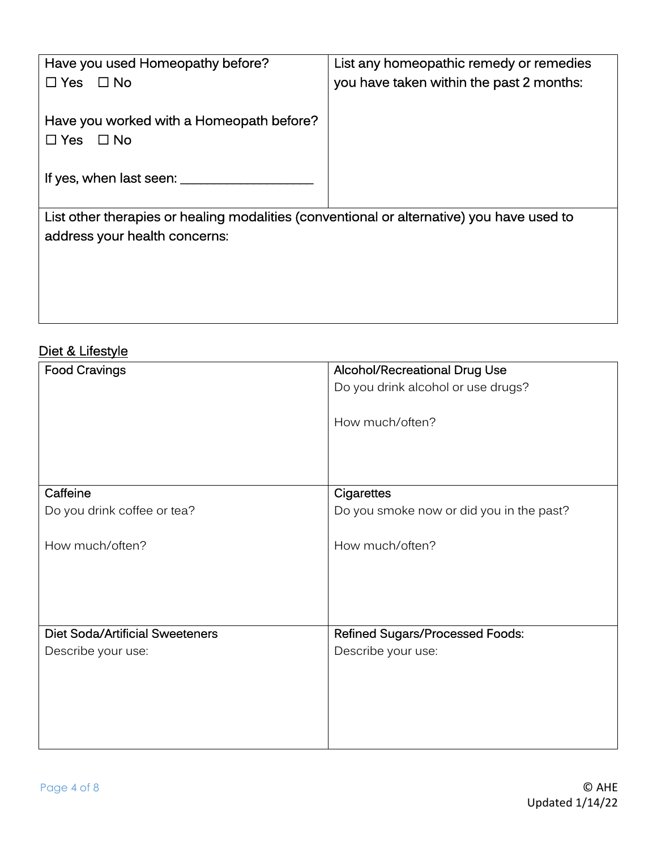| Have you used Homeopathy before?                                                          | List any homeopathic remedy or remedies  |  |
|-------------------------------------------------------------------------------------------|------------------------------------------|--|
| $\Box$ Yes $\Box$ No                                                                      | you have taken within the past 2 months: |  |
|                                                                                           |                                          |  |
| Have you worked with a Homeopath before?                                                  |                                          |  |
| $\Box$ Yes<br>$\Box$ No                                                                   |                                          |  |
|                                                                                           |                                          |  |
| If yes, when last seen: ____                                                              |                                          |  |
|                                                                                           |                                          |  |
| List other therapies or healing modalities (conventional or alternative) you have used to |                                          |  |
| address your health concerns:                                                             |                                          |  |
|                                                                                           |                                          |  |
|                                                                                           |                                          |  |
|                                                                                           |                                          |  |

#### Diet & Lifestyle

| Alcohol/Recreational Drug Use            |
|------------------------------------------|
|                                          |
| Do you drink alcohol or use drugs?       |
|                                          |
| How much/often?                          |
|                                          |
|                                          |
|                                          |
|                                          |
| Cigarettes                               |
| Do you smoke now or did you in the past? |
|                                          |
|                                          |
| How much/often?                          |
|                                          |
|                                          |
|                                          |
|                                          |
|                                          |
| <b>Refined Sugars/Processed Foods:</b>   |
| Describe your use:                       |
|                                          |
|                                          |
|                                          |
|                                          |
|                                          |
|                                          |
|                                          |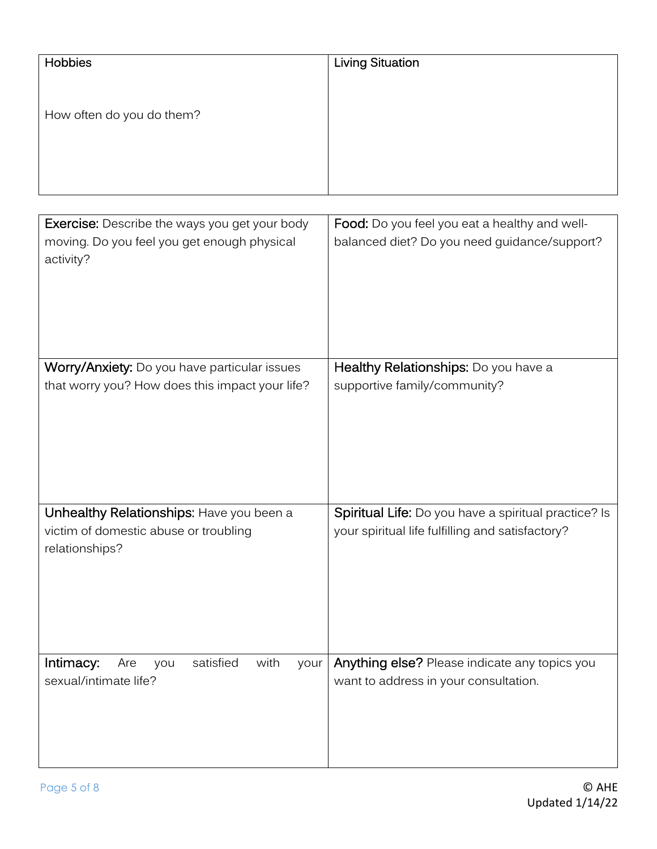| Hobbies                                                                           | <b>Living Situation</b>                                                                                  |
|-----------------------------------------------------------------------------------|----------------------------------------------------------------------------------------------------------|
|                                                                                   |                                                                                                          |
| How often do you do them?                                                         |                                                                                                          |
|                                                                                   |                                                                                                          |
|                                                                                   |                                                                                                          |
|                                                                                   |                                                                                                          |
| <b>Exercise:</b> Describe the ways you get your body                              | Food: Do you feel you eat a healthy and well-                                                            |
| moving. Do you feel you get enough physical<br>activity?                          | balanced diet? Do you need guidance/support?                                                             |
|                                                                                   |                                                                                                          |
|                                                                                   |                                                                                                          |
|                                                                                   |                                                                                                          |
|                                                                                   |                                                                                                          |
| Worry/Anxiety: Do you have particular issues                                      | Healthy Relationships: Do you have a                                                                     |
| that worry you? How does this impact your life?                                   | supportive family/community?                                                                             |
|                                                                                   |                                                                                                          |
|                                                                                   |                                                                                                          |
|                                                                                   |                                                                                                          |
|                                                                                   |                                                                                                          |
|                                                                                   |                                                                                                          |
| Unhealthy Relationships: Have you been a<br>victim of domestic abuse or troubling | Spiritual Life: Do you have a spiritual practice? Is<br>your spiritual life fulfilling and satisfactory? |
| relationships?                                                                    |                                                                                                          |
|                                                                                   |                                                                                                          |
|                                                                                   |                                                                                                          |
|                                                                                   |                                                                                                          |
|                                                                                   |                                                                                                          |
| with<br>Intimacy:<br>satisfied<br>Are<br>your<br>you                              | Anything else? Please indicate any topics you                                                            |
| sexual/intimate life?                                                             | want to address in your consultation.                                                                    |
|                                                                                   |                                                                                                          |
|                                                                                   |                                                                                                          |
|                                                                                   |                                                                                                          |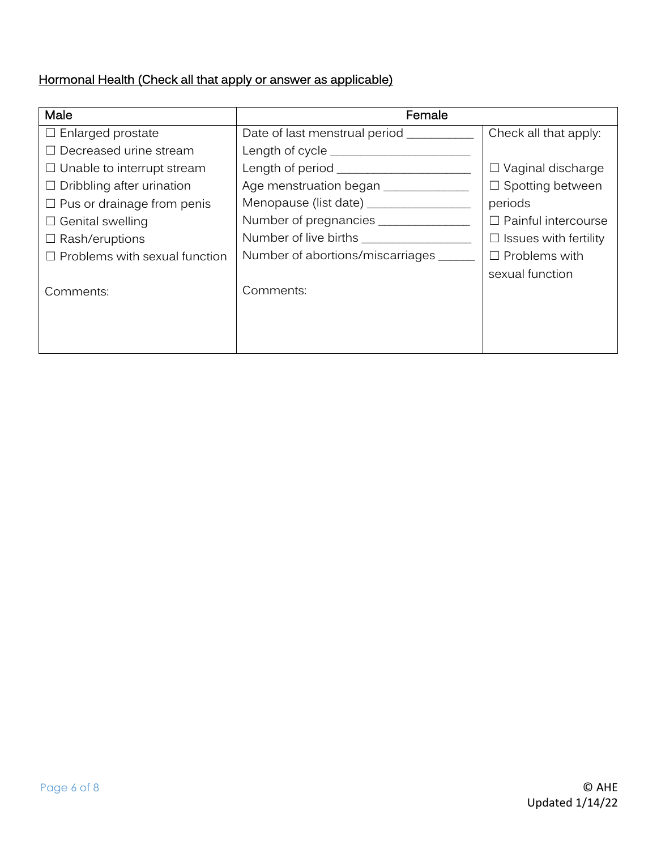### Hormonal Health (Check all that apply or answer as applicable)

| Male                                 | Female                                  |                              |  |
|--------------------------------------|-----------------------------------------|------------------------------|--|
| $\Box$ Enlarged prostate             | Date of last menstrual period _________ | Check all that apply:        |  |
| $\Box$ Decreased urine stream        | Length of cycle __________              |                              |  |
| $\Box$ Unable to interrupt stream    |                                         | $\Box$ Vaginal discharge     |  |
| $\Box$ Dribbling after urination     | Age menstruation began __________       | $\Box$ Spotting between      |  |
| $\Box$ Pus or drainage from penis    | Menopause (list date) ___________       | periods                      |  |
| $\Box$ Genital swelling              | Number of pregnancies ________          | $\Box$ Painful intercourse   |  |
| $\Box$ Rash/eruptions                | Number of live births                   | $\Box$ Issues with fertility |  |
| $\Box$ Problems with sexual function | Number of abortions/miscarriages        | $\Box$ Problems with         |  |
| Comments:                            | Comments:                               | sexual function              |  |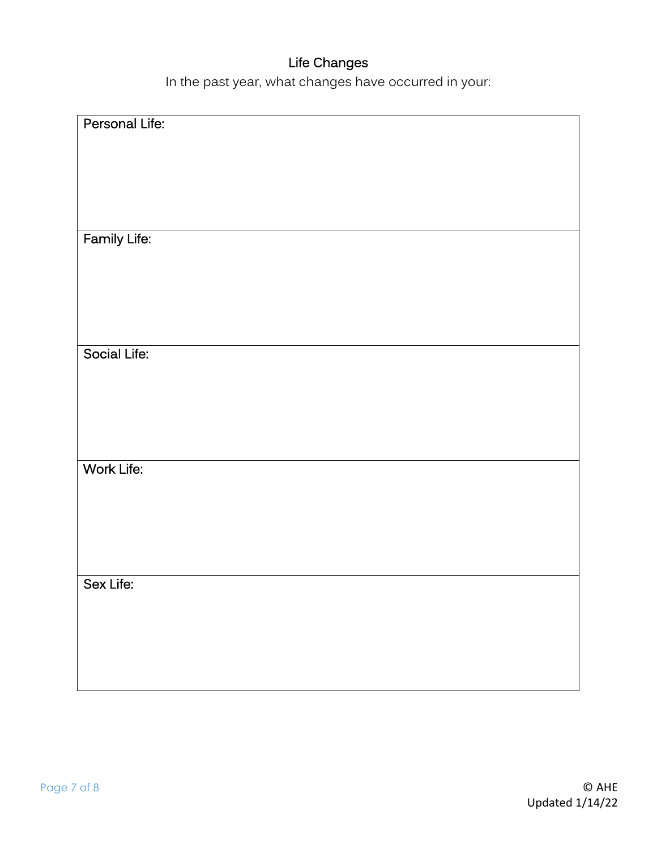# Life Changes

In the past year, what changes have occurred in your:

| Personal Life: |
|----------------|
|                |
|                |
|                |
|                |
|                |
|                |
|                |
|                |
|                |
|                |
|                |
| Family Life:   |
|                |
|                |
|                |
|                |
|                |
|                |
|                |
|                |
|                |
|                |
| Social Life:   |
|                |
|                |
|                |
|                |
|                |
|                |
|                |
|                |
|                |
|                |
| Work Life:     |
|                |
|                |
|                |
|                |
|                |
|                |
|                |
|                |
|                |
|                |
|                |
| Sex Life:      |
|                |
|                |
|                |
|                |
|                |
|                |
|                |
|                |
|                |
|                |